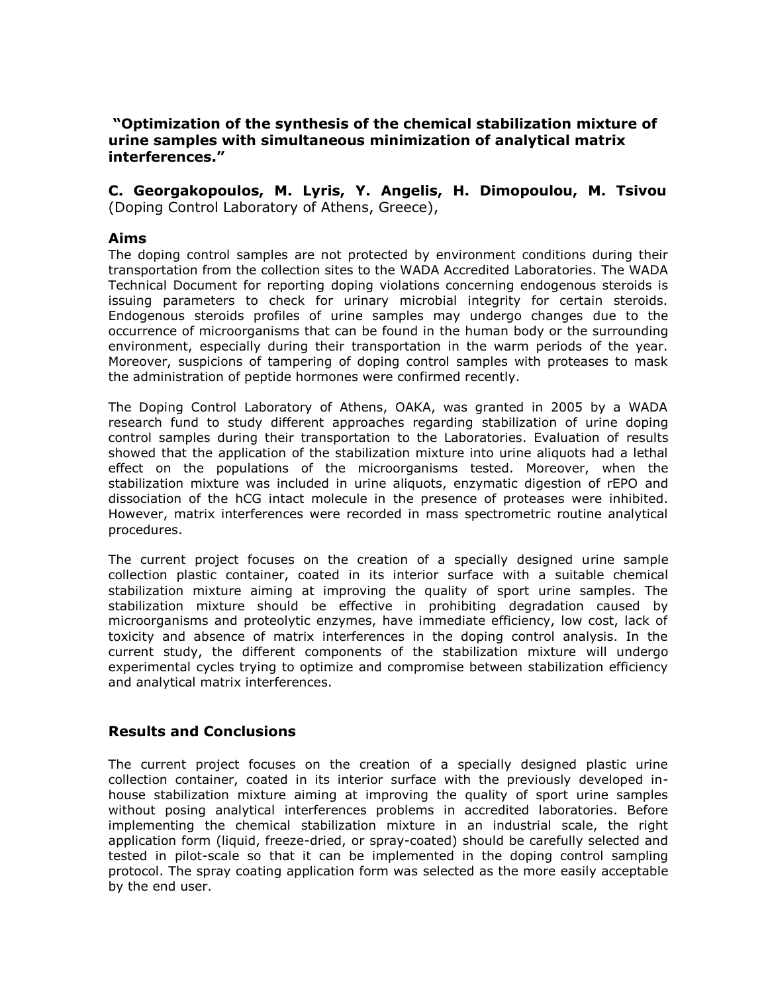**"Optimization of the synthesis of the chemical stabilization mixture of urine samples with simultaneous minimization of analytical matrix interferences."**

**C. Georgakopoulos, M. Lyris, Y. Angelis, H. Dimopoulou, M. Tsivou**  (Doping Control Laboratory of Athens, Greece),

## **Aims**

The doping control samples are not protected by environment conditions during their transportation from the collection sites to the WADA Accredited Laboratories. The WADA Technical Document for reporting doping violations concerning endogenous steroids is issuing parameters to check for urinary microbial integrity for certain steroids. Endogenous steroids profiles of urine samples may undergo changes due to the occurrence of microorganisms that can be found in the human body or the surrounding environment, especially during their transportation in the warm periods of the year. Moreover, suspicions of tampering of doping control samples with proteases to mask the administration of peptide hormones were confirmed recently.

The Doping Control Laboratory of Athens, OAKA, was granted in 2005 by a WADA research fund to study different approaches regarding stabilization of urine doping control samples during their transportation to the Laboratories. Evaluation of results showed that the application of the stabilization mixture into urine aliquots had a lethal effect on the populations of the microorganisms tested. Moreover, when the stabilization mixture was included in urine aliquots, enzymatic digestion of rEPO and dissociation of the hCG intact molecule in the presence of proteases were inhibited. However, matrix interferences were recorded in mass spectrometric routine analytical procedures.

The current project focuses on the creation of a specially designed urine sample collection plastic container, coated in its interior surface with a suitable chemical stabilization mixture aiming at improving the quality of sport urine samples. The stabilization mixture should be effective in prohibiting degradation caused by microorganisms and proteolytic enzymes, have immediate efficiency, low cost, lack of toxicity and absence of matrix interferences in the doping control analysis. In the current study, the different components of the stabilization mixture will undergo experimental cycles trying to optimize and compromise between stabilization efficiency and analytical matrix interferences.

## **Results and Conclusions**

The current project focuses on the creation of a specially designed plastic urine collection container, coated in its interior surface with the previously developed inhouse stabilization mixture aiming at improving the quality of sport urine samples without posing analytical interferences problems in accredited laboratories. Before implementing the chemical stabilization mixture in an industrial scale, the right application form (liquid, freeze-dried, or spray-coated) should be carefully selected and tested in pilot-scale so that it can be implemented in the doping control sampling protocol. The spray coating application form was selected as the more easily acceptable by the end user.